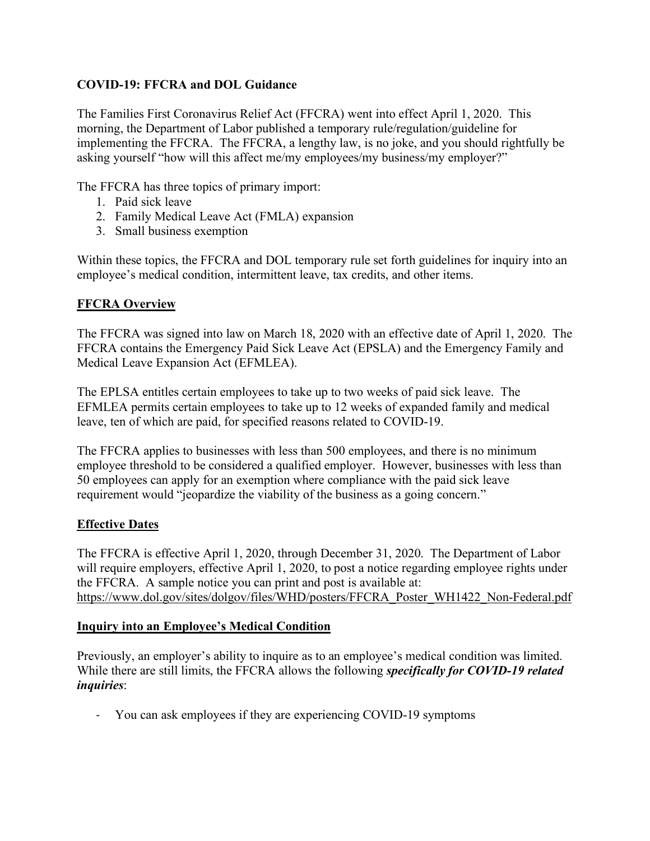### **COVID-19: FFCRA and DOL Guidance**

The Families First Coronavirus Relief Act (FFCRA) went into effect April 1, 2020. This morning, the Department of Labor published a temporary rule/regulation/guideline for implementing the FFCRA. The FFCRA, a lengthy law, is no joke, and you should rightfully be asking yourself "how will this affect me/my employees/my business/my employer?"

The FFCRA has three topics of primary import:

- 1. Paid sick leave
- 2. Family Medical Leave Act (FMLA) expansion
- 3. Small business exemption

Within these topics, the FFCRA and DOL temporary rule set forth guidelines for inquiry into an employee's medical condition, intermittent leave, tax credits, and other items.

#### **FFCRA Overview**

The FFCRA was signed into law on March 18, 2020 with an effective date of April 1, 2020. The FFCRA contains the Emergency Paid Sick Leave Act (EPSLA) and the Emergency Family and Medical Leave Expansion Act (EFMLEA).

The EPLSA entitles certain employees to take up to two weeks of paid sick leave. The EFMLEA permits certain employees to take up to 12 weeks of expanded family and medical leave, ten of which are paid, for specified reasons related to COVID-19.

The FFCRA applies to businesses with less than 500 employees, and there is no minimum employee threshold to be considered a qualified employer. However, businesses with less than 50 employees can apply for an exemption where compliance with the paid sick leave requirement would "jeopardize the viability of the business as a going concern."

#### **Effective Dates**

The FFCRA is effective April 1, 2020, through December 31, 2020. The Department of Labor will require employers, effective April 1, 2020, to post a notice regarding employee rights under the FFCRA. A sample notice you can print and post is available at: https://www.dol.gov/sites/dolgov/files/WHD/posters/FFCRA\_Poster\_WH1422\_Non-Federal.pdf

#### **Inquiry into an Employee's Medical Condition**

Previously, an employer's ability to inquire as to an employee's medical condition was limited. While there are still limits, the FFCRA allows the following *specifically for COVID-19 related inquiries*:

- You can ask employees if they are experiencing COVID-19 symptoms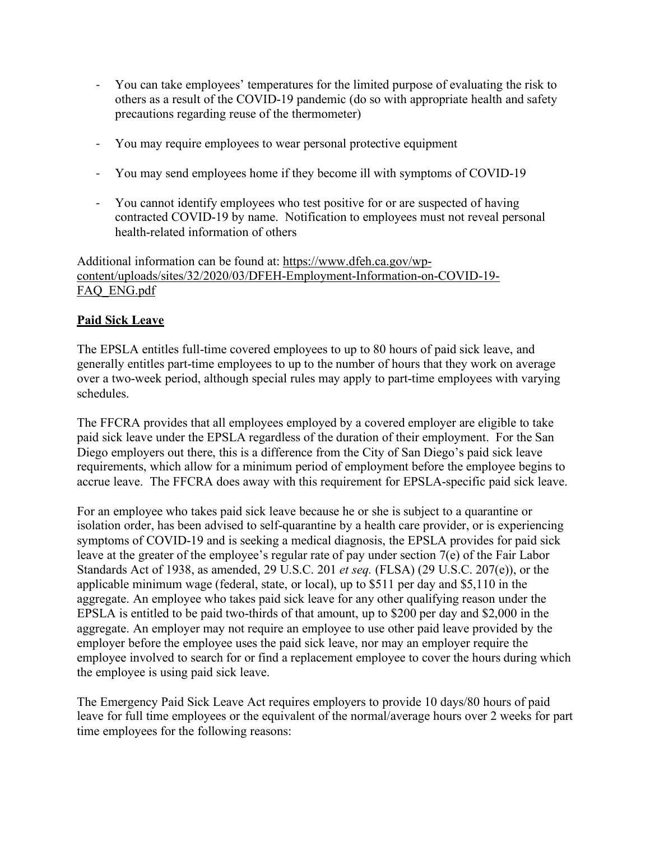- You can take employees' temperatures for the limited purpose of evaluating the risk to others as a result of the COVID-19 pandemic (do so with appropriate health and safety precautions regarding reuse of the thermometer)
- You may require employees to wear personal protective equipment
- You may send employees home if they become ill with symptoms of COVID-19
- You cannot identify employees who test positive for or are suspected of having contracted COVID-19 by name. Notification to employees must not reveal personal health-related information of others

Additional information can be found at: https://www.dfeh.ca.gov/wpcontent/uploads/sites/32/2020/03/DFEH-Employment-Information-on-COVID-19- FAQ\_ENG.pdf

#### **Paid Sick Leave**

The EPSLA entitles full-time covered employees to up to 80 hours of paid sick leave, and generally entitles part-time employees to up to the number of hours that they work on average over a two-week period, although special rules may apply to part-time employees with varying schedules.

The FFCRA provides that all employees employed by a covered employer are eligible to take paid sick leave under the EPSLA regardless of the duration of their employment. For the San Diego employers out there, this is a difference from the City of San Diego's paid sick leave requirements, which allow for a minimum period of employment before the employee begins to accrue leave. The FFCRA does away with this requirement for EPSLA-specific paid sick leave.

For an employee who takes paid sick leave because he or she is subject to a quarantine or isolation order, has been advised to self-quarantine by a health care provider, or is experiencing symptoms of COVID-19 and is seeking a medical diagnosis, the EPSLA provides for paid sick leave at the greater of the employee's regular rate of pay under section 7(e) of the Fair Labor Standards Act of 1938, as amended, 29 U.S.C. 201 *et seq.* (FLSA) (29 U.S.C. 207(e)), or the applicable minimum wage (federal, state, or local), up to \$511 per day and \$5,110 in the aggregate. An employee who takes paid sick leave for any other qualifying reason under the EPSLA is entitled to be paid two-thirds of that amount, up to \$200 per day and \$2,000 in the aggregate. An employer may not require an employee to use other paid leave provided by the employer before the employee uses the paid sick leave, nor may an employer require the employee involved to search for or find a replacement employee to cover the hours during which the employee is using paid sick leave.

The Emergency Paid Sick Leave Act requires employers to provide 10 days/80 hours of paid leave for full time employees or the equivalent of the normal/average hours over 2 weeks for part time employees for the following reasons: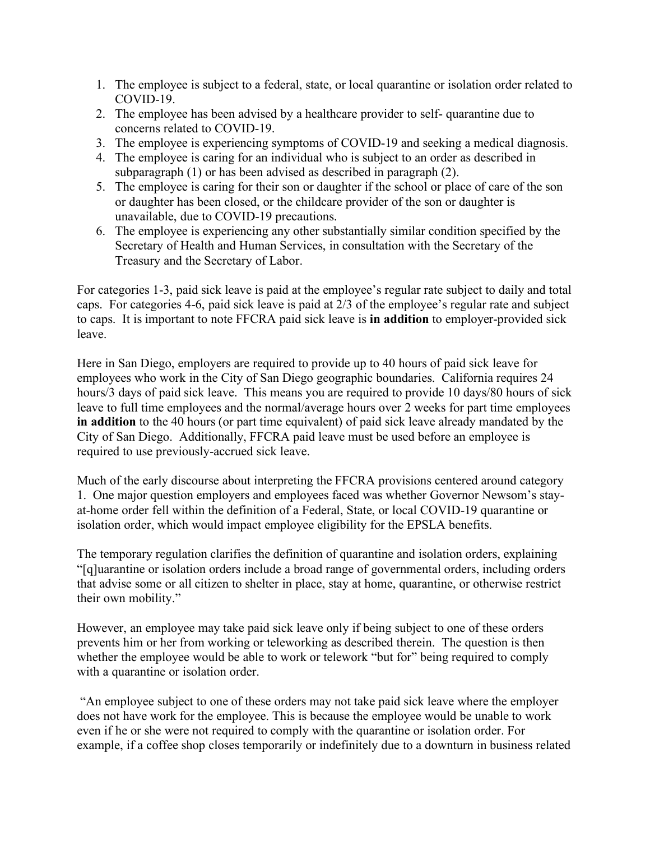- 1. The employee is subject to a federal, state, or local quarantine or isolation order related to COVID-19.
- 2. The employee has been advised by a healthcare provider to self- quarantine due to concerns related to COVID-19.
- 3. The employee is experiencing symptoms of COVID-19 and seeking a medical diagnosis.
- 4. The employee is caring for an individual who is subject to an order as described in subparagraph (1) or has been advised as described in paragraph (2).
- 5. The employee is caring for their son or daughter if the school or place of care of the son or daughter has been closed, or the childcare provider of the son or daughter is unavailable, due to COVID-19 precautions.
- 6. The employee is experiencing any other substantially similar condition specified by the Secretary of Health and Human Services, in consultation with the Secretary of the Treasury and the Secretary of Labor.

For categories 1-3, paid sick leave is paid at the employee's regular rate subject to daily and total caps. For categories 4-6, paid sick leave is paid at 2/3 of the employee's regular rate and subject to caps. It is important to note FFCRA paid sick leave is **in addition** to employer-provided sick leave.

Here in San Diego, employers are required to provide up to 40 hours of paid sick leave for employees who work in the City of San Diego geographic boundaries. California requires 24 hours/3 days of paid sick leave. This means you are required to provide 10 days/80 hours of sick leave to full time employees and the normal/average hours over 2 weeks for part time employees **in addition** to the 40 hours (or part time equivalent) of paid sick leave already mandated by the City of San Diego. Additionally, FFCRA paid leave must be used before an employee is required to use previously-accrued sick leave.

Much of the early discourse about interpreting the FFCRA provisions centered around category 1. One major question employers and employees faced was whether Governor Newsom's stayat-home order fell within the definition of a Federal, State, or local COVID-19 quarantine or isolation order, which would impact employee eligibility for the EPSLA benefits.

The temporary regulation clarifies the definition of quarantine and isolation orders, explaining "[q]uarantine or isolation orders include a broad range of governmental orders, including orders that advise some or all citizen to shelter in place, stay at home, quarantine, or otherwise restrict their own mobility."

However, an employee may take paid sick leave only if being subject to one of these orders prevents him or her from working or teleworking as described therein. The question is then whether the employee would be able to work or telework "but for" being required to comply with a quarantine or isolation order.

"An employee subject to one of these orders may not take paid sick leave where the employer does not have work for the employee. This is because the employee would be unable to work even if he or she were not required to comply with the quarantine or isolation order. For example, if a coffee shop closes temporarily or indefinitely due to a downturn in business related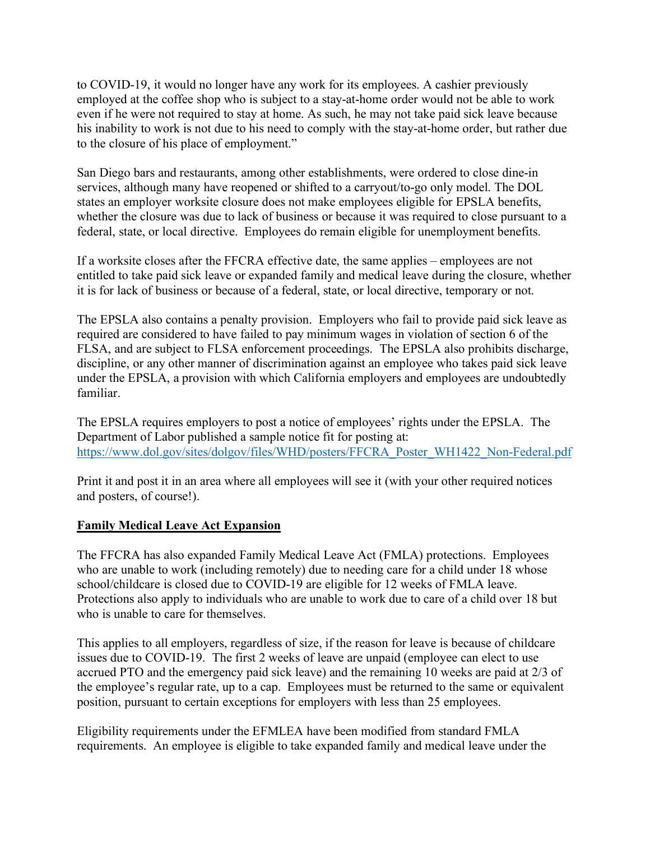to COVID-19, it would no longer have any work for its employees. A cashier previously employed at the coffee shop who is subject to a stay-at-home order would not be able to work even if he were not required to stay at home. As such, he may not take paid sick leave because his inability to work is not due to his need to comply with the stay-at-home order, but rather due to the closure of his place of employment."

San Diego bars and restaurants, among other establishments, were ordered to close dine-in services, although many have reopened or shifted to a carryout/to-go only model. The DOL states an employer worksite closure does not make employees eligible for EPSLA benefits, whether the closure was due to lack of business or because it was required to close pursuant to a federal, state, or local directive. Employees do remain eligible for unemployment benefits.

If a worksite closes after the FFCRA effective date, the same applies – employees are not entitled to take paid sick leave or expanded family and medical leave during the closure, whether it is for lack of business or because of a federal, state, or local directive, temporary or not.

The EPSLA also contains a penalty provision. Employers who fail to provide paid sick leave as required are considered to have failed to pay minimum wages in violation of section 6 of the FLSA, and are subject to FLSA enforcement proceedings. The EPSLA also prohibits discharge, discipline, or any other manner of discrimination against an employee who takes paid sick leave under the EPSLA, a provision with which California employers and employees are undoubtedly familiar.

The EPSLA requires employers to post a notice of employees' rights under the EPSLA. The Department of Labor published a sample notice fit for posting at: https://www.dol.gov/sites/dolgov/files/WHD/posters/FFCRA\_Poster\_WH1422\_Non-Federal.pdf

Print it and post it in an area where all employees will see it (with your other required notices and posters, of course!).

#### **Family Medical Leave Act Expansion**

The FFCRA has also expanded Family Medical Leave Act (FMLA) protections. Employees who are unable to work (including remotely) due to needing care for a child under 18 whose school/childcare is closed due to COVID-19 are eligible for 12 weeks of FMLA leave. Protections also apply to individuals who are unable to work due to care of a child over 18 but who is unable to care for themselves.

This applies to all employers, regardless of size, if the reason for leave is because of childcare issues due to COVID-19. The first 2 weeks of leave are unpaid (employee can elect to use accrued PTO and the emergency paid sick leave) and the remaining 10 weeks are paid at 2/3 of the employee's regular rate, up to a cap. Employees must be returned to the same or equivalent position, pursuant to certain exceptions for employers with less than 25 employees.

Eligibility requirements under the EFMLEA have been modified from standard FMLA requirements. An employee is eligible to take expanded family and medical leave under the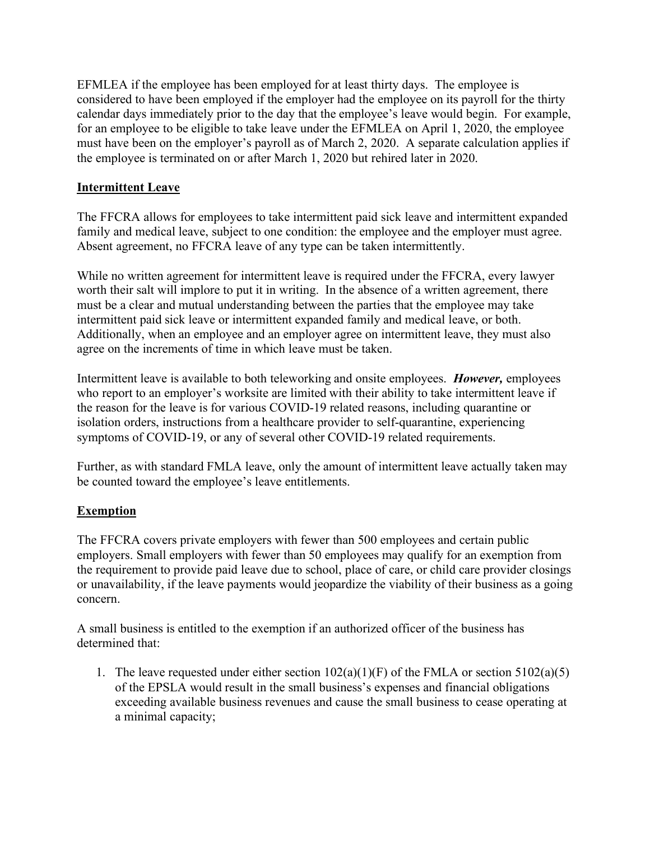EFMLEA if the employee has been employed for at least thirty days. The employee is considered to have been employed if the employer had the employee on its payroll for the thirty calendar days immediately prior to the day that the employee's leave would begin. For example, for an employee to be eligible to take leave under the EFMLEA on April 1, 2020, the employee must have been on the employer's payroll as of March 2, 2020. A separate calculation applies if the employee is terminated on or after March 1, 2020 but rehired later in 2020.

### **Intermittent Leave**

The FFCRA allows for employees to take intermittent paid sick leave and intermittent expanded family and medical leave, subject to one condition: the employee and the employer must agree. Absent agreement, no FFCRA leave of any type can be taken intermittently.

While no written agreement for intermittent leave is required under the FFCRA, every lawyer worth their salt will implore to put it in writing. In the absence of a written agreement, there must be a clear and mutual understanding between the parties that the employee may take intermittent paid sick leave or intermittent expanded family and medical leave, or both. Additionally, when an employee and an employer agree on intermittent leave, they must also agree on the increments of time in which leave must be taken.

Intermittent leave is available to both teleworking and onsite employees. *However,* employees who report to an employer's worksite are limited with their ability to take intermittent leave if the reason for the leave is for various COVID-19 related reasons, including quarantine or isolation orders, instructions from a healthcare provider to self-quarantine, experiencing symptoms of COVID-19, or any of several other COVID-19 related requirements.

Further, as with standard FMLA leave, only the amount of intermittent leave actually taken may be counted toward the employee's leave entitlements.

# **Exemption**

The FFCRA covers private employers with fewer than 500 employees and certain public employers. Small employers with fewer than 50 employees may qualify for an exemption from the requirement to provide paid leave due to school, place of care, or child care provider closings or unavailability, if the leave payments would jeopardize the viability of their business as a going concern.

A small business is entitled to the exemption if an authorized officer of the business has determined that:

1. The leave requested under either section  $102(a)(1)(F)$  of the FMLA or section  $5102(a)(5)$ of the EPSLA would result in the small business's expenses and financial obligations exceeding available business revenues and cause the small business to cease operating at a minimal capacity;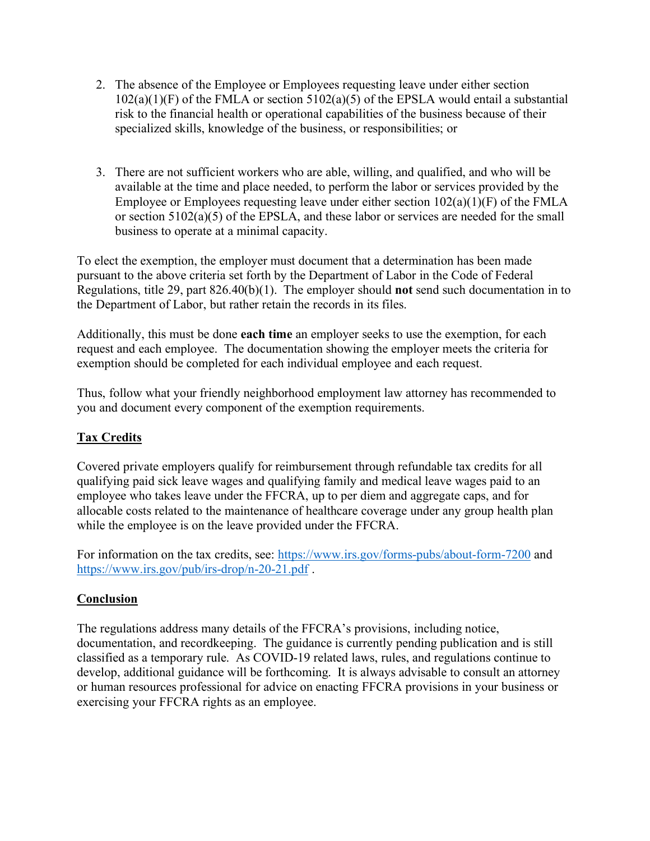- 2. The absence of the Employee or Employees requesting leave under either section  $102(a)(1)(F)$  of the FMLA or section  $5102(a)(5)$  of the EPSLA would entail a substantial risk to the financial health or operational capabilities of the business because of their specialized skills, knowledge of the business, or responsibilities; or
- 3. There are not sufficient workers who are able, willing, and qualified, and who will be available at the time and place needed, to perform the labor or services provided by the Employee or Employees requesting leave under either section 102(a)(1)(F) of the FMLA or section 5102(a)(5) of the EPSLA, and these labor or services are needed for the small business to operate at a minimal capacity.

To elect the exemption, the employer must document that a determination has been made pursuant to the above criteria set forth by the Department of Labor in the Code of Federal Regulations, title 29, part 826.40(b)(1). The employer should **not** send such documentation in to the Department of Labor, but rather retain the records in its files.

Additionally, this must be done **each time** an employer seeks to use the exemption, for each request and each employee. The documentation showing the employer meets the criteria for exemption should be completed for each individual employee and each request.

Thus, follow what your friendly neighborhood employment law attorney has recommended to you and document every component of the exemption requirements.

# **Tax Credits**

Covered private employers qualify for reimbursement through refundable tax credits for all qualifying paid sick leave wages and qualifying family and medical leave wages paid to an employee who takes leave under the FFCRA, up to per diem and aggregate caps, and for allocable costs related to the maintenance of healthcare coverage under any group health plan while the employee is on the leave provided under the FFCRA.

For information on the tax credits, see: https://www.irs.gov/forms-pubs/about-form-7200 and https://www.irs.gov/pub/irs-drop/n-20-21.pdf .

# **Conclusion**

The regulations address many details of the FFCRA's provisions, including notice, documentation, and recordkeeping. The guidance is currently pending publication and is still classified as a temporary rule. As COVID-19 related laws, rules, and regulations continue to develop, additional guidance will be forthcoming. It is always advisable to consult an attorney or human resources professional for advice on enacting FFCRA provisions in your business or exercising your FFCRA rights as an employee.